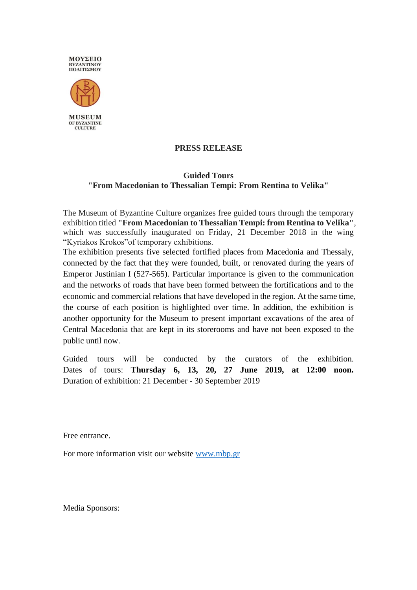



**MUSEUM** OF BYZANTINE **CULTURE** 

## **PRESS RELEASE**

## **Guided Tours "From Macedonian to Thessalian Tempi: From Rentina to Velika"**

The Museum of Byzantine Culture organizes free guided tours through the temporary exhibition titled **"From Macedonian to Thessalian Tempi: from Rentina to Velika"**, which was successfully inaugurated on Friday, 21 December 2018 in the wing "Kyriakos Krokos"of temporary exhibitions.

The exhibition presents five selected fortified places from Macedonia and Thessaly, connected by the fact that they were founded, built, or renovated during the years of Emperor Justinian I (527-565). Particular importance is given to the communication and the networks of roads that have been formed between the fortifications and to the economic and commercial relations that have developed in the region. At the same time, the course of each position is highlighted over time. In addition, the exhibition is another opportunity for the Museum to present important excavations of the area of Central Macedonia that are kept in its storerooms and have not been exposed to the public until now.

Guided tours will be conducted by the curators of the exhibition. Dates of tours: **Thursday 6, 13, 20, 27 June 2019, at 12:00 noon.**  Duration of exhibition: 21 December - 30 September 2019

Free entrance.

For more information visit our website [www.mbp.gr](http://www.mbp.gr/)

Media Sponsors: